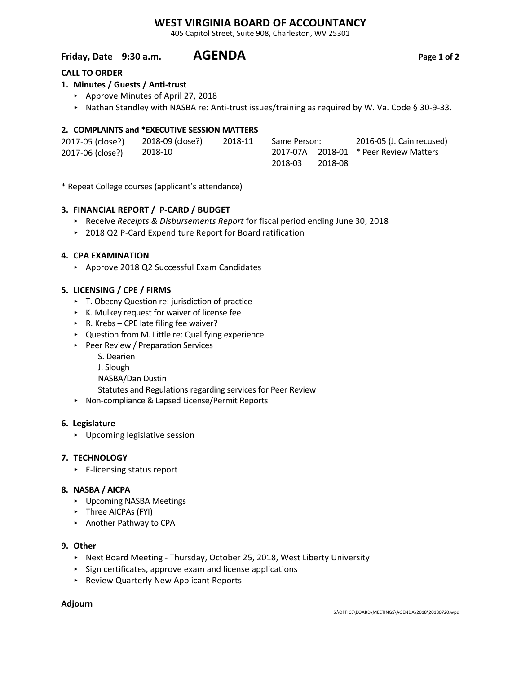## **WEST VIRGINIA BOARD OF ACCOUNTANCY**

405 Capitol Street, Suite 908, Charleston, WV 25301

## **Friday, Date 9:30 a.m. AGENDA Page 1 of 2**

## **CALL TO ORDER**

## **1. Minutes / Guests / Anti-trust**

- ▶ Approve Minutes of April 27, 2018
	- ▶ Nathan Standley with NASBA re: Anti-trust issues/training as required by W. Va. Code § 30-9-33.

## **2. COMPLAINTS and \*EXECUTIVE SESSION MATTERS**

| 2017-05 (close?) | 2018-09 (close?) | 2018-11 | Same Person: |         | 2016-05 (J. Cain recused)              |
|------------------|------------------|---------|--------------|---------|----------------------------------------|
| 2017-06 (close?) | 2018-10          |         |              |         | 2017-07A 2018-01 * Peer Review Matters |
|                  |                  |         | 2018-03      | 2018-08 |                                        |

\* Repeat College courses (applicant's attendance)

## **3. FINANCIAL REPORT / P-CARD / BUDGET**

- < Receive *Receipts & Disbursements Report* for fiscal period ending June 30, 2018
- ▶ 2018 Q2 P-Card Expenditure Report for Board ratification

#### **4. CPA EXAMINATION**

▶ Approve 2018 Q2 Successful Exam Candidates

#### **5. LICENSING / CPE / FIRMS**

- ▶ T. Obecny Question re: jurisdiction of practice
- $\triangleright$  K. Mulkey request for waiver of license fee
- $\triangleright$  R. Krebs CPE late filing fee waiver?
- < Question from M. Little re: Qualifying experience
- ▶ Peer Review / Preparation Services
	- S. Dearien
	- J. Slough
	- NASBA/Dan Dustin
	- Statutes and Regulations regarding services for Peer Review
- ▶ Non-compliance & Lapsed License/Permit Reports

#### **6. Legislature**

**•** Upcoming legislative session

### **7. TECHNOLOGY**

 $\blacktriangleright$  E-licensing status report

#### **8. NASBA / AICPA**

- **•** Upcoming NASBA Meetings
- ▶ Three AICPAs (FYI)
- < Another Pathway to CPA

#### **9. Other**

- ► Next Board Meeting Thursday, October 25, 2018, West Liberty University
- $\triangleright$  Sign certificates, approve exam and license applications
- < Review Quarterly New Applicant Reports

#### **Adjourn**